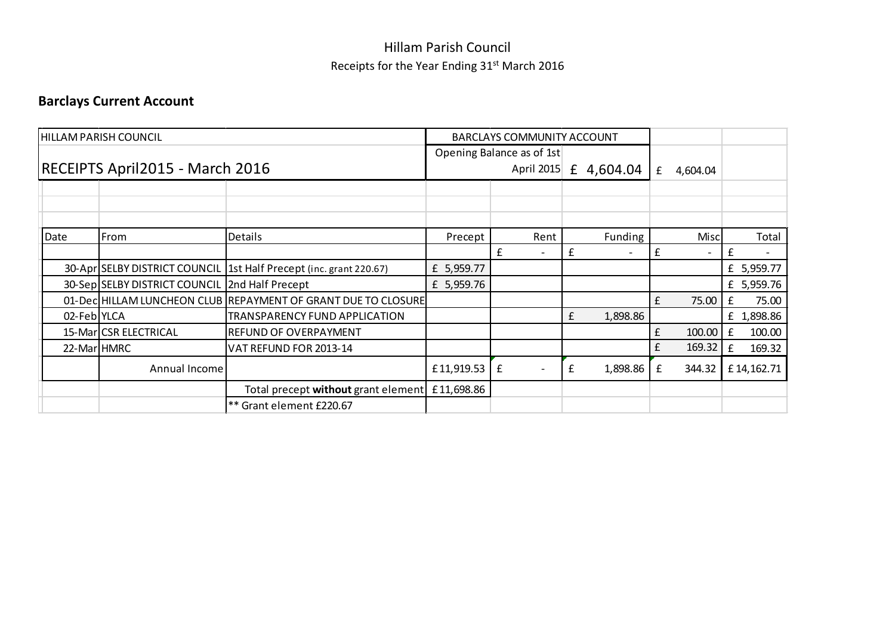## Hillam Parish Council Receipts for the Year Ending 31<sup>st</sup> March 2016

## Barclays Current Account

|             | HILLAM PARISH COUNCIL                          |                                                                    |            | <b>BARCLAYS COMMUNITY ACCOUNT</b>       |                               |                       |             |
|-------------|------------------------------------------------|--------------------------------------------------------------------|------------|-----------------------------------------|-------------------------------|-----------------------|-------------|
|             | RECEIPTS April2015 - March 2016                |                                                                    |            | Opening Balance as of 1st<br>April 2015 | f<br>4,604.04                 | 4,604.04<br>£         |             |
|             |                                                |                                                                    |            |                                         |                               |                       |             |
| Date        | From                                           | Details                                                            | Precept    | Rent                                    | Funding                       | Misc                  | Total       |
|             |                                                |                                                                    |            | £<br>$\overline{\phantom{a}}$           | £<br>$\overline{\phantom{0}}$ | £                     | f           |
|             |                                                | 30-Apr SELBY DISTRICT COUNCIL 1st Half Precept (inc. grant 220.67) | £ 5,959.77 |                                         |                               |                       | £ 5,959.77  |
|             | 30-Sep SELBY DISTRICT COUNCIL 2nd Half Precept |                                                                    | £ 5,959.76 |                                         |                               |                       | £ 5,959.76  |
|             |                                                | 01-Dec HILLAM LUNCHEON CLUB REPAYMENT OF GRANT DUE TO CLOSURE      |            |                                         |                               | f<br>75.00            | 75.00<br>£  |
| 02-Feb YLCA |                                                | TRANSPARENCY FUND APPLICATION                                      |            |                                         | £<br>1,898.86                 |                       | £ 1,898.86  |
|             | 15-Mar CSR ELECTRICAL                          | REFUND OF OVERPAYMENT                                              |            |                                         |                               | $\mathbf f$<br>100.00 | 100.00<br>£ |
| 22-Mar HMRC |                                                | VAT REFUND FOR 2013-14                                             |            |                                         |                               | £<br>169.32           | 169.32<br>£ |
|             | Annual Income                                  |                                                                    | £11,919.53 | £<br>$\overline{\phantom{a}}$           | 1,898.86<br>£                 | 344.32<br>£           | £14,162.71  |
|             |                                                | Total precept without grant element                                | £11,698.86 |                                         |                               |                       |             |
|             |                                                | ** Grant element £220.67                                           |            |                                         |                               |                       |             |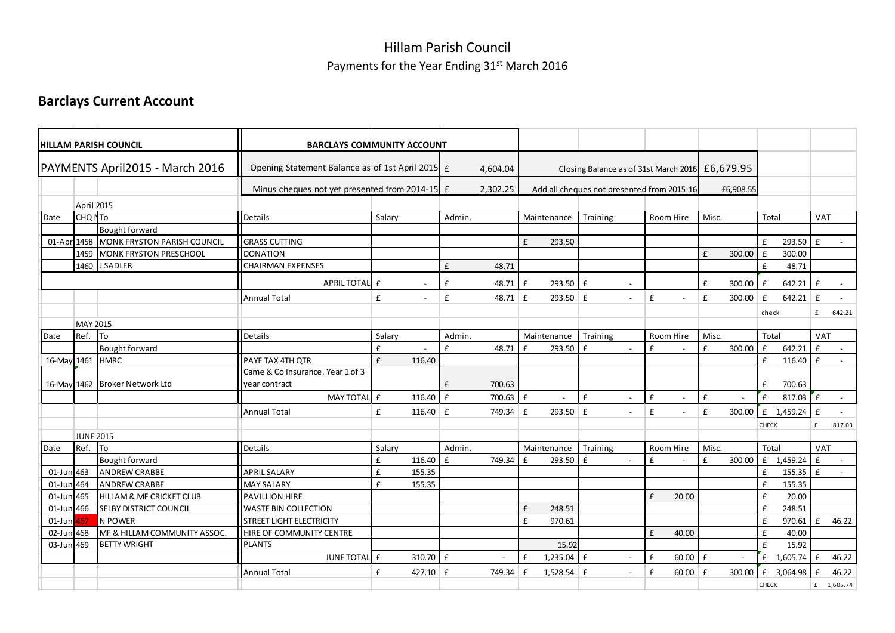## Hillam Parish Council Payments for the Year Ending 31st March 2016

## Barclays Current Account

|             |                   | <b>HILLAM PARISH COUNCIL</b>        | <b>BARCLAYS COMMUNITY ACCOUNT</b>                |        |                          |              |           |   |                |                                                 |                          |              |             |              |                          |                    |              |              |            |
|-------------|-------------------|-------------------------------------|--------------------------------------------------|--------|--------------------------|--------------|-----------|---|----------------|-------------------------------------------------|--------------------------|--------------|-------------|--------------|--------------------------|--------------------|--------------|--------------|------------|
|             |                   | PAYMENTS April2015 - March 2016     | Opening Statement Balance as of 1st April 2015 £ |        |                          |              | 4,604.04  |   |                | Closing Balance as of 31st March 2016 £6,679.95 |                          |              |             |              |                          |                    |              |              |            |
|             |                   |                                     | Minus cheques not yet presented from 2014-15 £   |        |                          |              | 2,302.25  |   |                | Add all cheques not presented from 2015-16      |                          |              |             |              | £6,908.55                |                    |              |              |            |
|             | <b>April 2015</b> |                                     |                                                  |        |                          |              |           |   |                |                                                 |                          |              |             |              |                          |                    |              |              |            |
| Date        | CHQ NTo           |                                     | Details                                          | Salary |                          | Admin.       |           |   | Maintenance    | Training                                        |                          |              | Room Hire   | Misc.        |                          | Total              |              | VAT          |            |
|             |                   | Bought forward                      |                                                  |        |                          |              |           |   |                |                                                 |                          |              |             |              |                          |                    |              |              |            |
| 01-Apr 1458 |                   | MONK FRYSTON PARISH COUNCIL         | <b>GRASS CUTTING</b>                             |        |                          |              |           | £ | 293.50         |                                                 |                          |              |             |              |                          | £                  | 293.50       | l £          |            |
|             | 1459              | MONK FRYSTON PRESCHOOL              | <b>DONATION</b>                                  |        |                          |              |           |   |                |                                                 |                          |              |             | £            | 300.00                   | £                  | 300.00       |              |            |
|             |                   | 1460 J SADLER                       | <b>CHAIRMAN EXPENSES</b>                         |        |                          | £            | 48.71     |   |                |                                                 |                          |              |             |              |                          | £                  | 48.71        |              |            |
|             |                   |                                     | APRIL TOTAL £                                    |        | $\overline{\phantom{a}}$ | £            | 48.71     | £ | 293.50 £       |                                                 | $\blacksquare$           |              |             | £            | 300.00                   | $\mathbf f$        | 642.21       | £            |            |
|             |                   |                                     | <b>Annual Total</b>                              | £      | $\sim$                   | £            | 48.71 $E$ |   | $293.50$ £     |                                                 | $\sim$                   | £            |             | £            | 300.00                   | $\mathbf f$        | $642.21$ £   |              |            |
|             |                   |                                     |                                                  |        |                          |              |           |   |                |                                                 |                          |              |             |              |                          | check              |              | £            | 642.21     |
|             | <b>MAY 2015</b>   |                                     |                                                  |        |                          |              |           |   |                |                                                 |                          |              |             |              |                          |                    |              |              |            |
| Date        | Ref.              | <b>To</b>                           | Details                                          | Salary |                          | Admin.       |           |   | Maintenance    | Training                                        |                          |              | Room Hire   | Misc.        |                          | Total              |              | VAT          |            |
|             |                   | <b>Bought forward</b>               |                                                  | £      |                          | £            | 48.71     | f | 293.50         | £                                               | $\sim$                   | £            |             | £            | 300.00                   | £                  | 642.21       | £            |            |
| 16-May 1461 |                   | <b>HMRC</b>                         | <b>PAYE TAX 4TH OTR</b>                          | £      | 116.40                   |              |           |   |                |                                                 |                          |              |             |              |                          | £                  | 116.40 $E$   |              |            |
|             |                   |                                     | Came & Co Insurance. Year 1 of 3                 |        |                          |              |           |   |                |                                                 |                          |              |             |              |                          |                    |              |              |            |
|             |                   | 16-May 1462 Broker Network Ltd      | year contract                                    |        |                          | £            | 700.63    |   |                |                                                 |                          |              |             |              |                          | £                  | 700.63       |              |            |
|             |                   |                                     | MAY TOTAL £                                      |        | 116.40                   | Ι£           | 700.63 £  |   |                | £                                               | $\overline{\phantom{a}}$ | $\mathbf{f}$ | $\sim$      | $\mathbf{f}$ | $\overline{\phantom{a}}$ | £                  | $817.03$ $E$ |              | $\sim$     |
|             |                   |                                     | Annual Total                                     | £      | 116.40 $E$               |              | 749.34 £  |   | 293.50 £       |                                                 | $\sim$                   | £            | $\sim$      | £            | 300.00                   | f                  | 1,459.24     | $\mathbf{f}$ | $\sim$     |
|             |                   |                                     |                                                  |        |                          |              |           |   |                |                                                 |                          |              |             |              |                          | <b>CHECK</b>       |              | f            | 817.03     |
|             | <b>JUNE 2015</b>  |                                     |                                                  |        |                          |              |           |   |                |                                                 |                          |              |             |              |                          |                    |              |              |            |
| Date        | Ref.              | <b>I</b> To                         | Details                                          | Salary |                          | Admin.       |           |   | Maintenance    | Training                                        |                          |              | Room Hire   | Misc.        |                          | Total              |              | <b>VAT</b>   |            |
|             |                   | <b>Bought forward</b>               |                                                  | £      | 116.40                   | $\mathbf{f}$ | 749.34    | f | 293.50         | £                                               | $\sim$                   | £            |             | £            | 300.00                   |                    | £ 1,459.24   | $\mathbf{f}$ |            |
| 01-Jun 463  |                   | <b>ANDREW CRABBE</b>                | <b>APRIL SALARY</b>                              | £      | 155.35                   |              |           |   |                |                                                 |                          |              |             |              |                          | £                  | 155.35       | $\mathbf{f}$ |            |
| 01-Jun 464  |                   | <b>ANDREW CRABBE</b>                | <b>MAY SALARY</b>                                | £      | 155.35                   |              |           |   |                |                                                 |                          |              |             |              |                          | £                  | 155.35       |              |            |
| $01$ -Jun   | 465               | <b>HILLAM &amp; MF CRICKET CLUB</b> | <b>PAVILLION HIRE</b>                            |        |                          |              |           |   |                |                                                 |                          | £            | 20.00       |              |                          | £                  | 20.00        |              |            |
| 01-Jun 466  |                   | <b>SELBY DISTRICT COUNCIL</b>       | <b>WASTE BIN COLLECTION</b>                      |        |                          |              |           | £ | 248.51         |                                                 |                          |              |             |              |                          | £                  | 248.51       |              |            |
| $01$ -Jun   | 167               | N POWER                             | <b>STREET LIGHT ELECTRICITY</b>                  |        |                          |              |           | f | 970.61         |                                                 |                          |              |             |              |                          | £                  | 970.61       | $\mathbf{f}$ | 46.22      |
| 02-Jun 468  |                   | MF & HILLAM COMMUNITY ASSOC.        | HIRE OF COMMUNITY CENTRE                         |        |                          |              |           |   |                |                                                 |                          | £            | 40.00       |              |                          | $\pmb{\mathsf{f}}$ | 40.00        |              |            |
| 03-Jun 469  |                   | <b>BETTY WRIGHT</b>                 | <b>PLANTS</b>                                    |        |                          |              |           |   | 15.92          |                                                 |                          |              |             |              |                          | £                  | 15.92        |              |            |
|             |                   |                                     | JUNE TOTAL £                                     |        | $310.70$ E               |              |           | f | $1,235.04$ $E$ |                                                 | $\blacksquare$           | £            | $60.00$ $E$ |              |                          | £                  | $1,605.74$ £ |              | 46.22      |
|             |                   |                                     | <b>Annual Total</b>                              | £      | 427.10 $E$               |              | 749.34    | £ | $1,528.54$ £   |                                                 | $\sim$                   | £            | $60.00$ £   |              | 300.00                   |                    | £ 3,064.98   | $\mathbf{f}$ | 46.22      |
|             |                   |                                     |                                                  |        |                          |              |           |   |                |                                                 |                          |              |             |              |                          | CHECK              |              |              | £ 1,605.74 |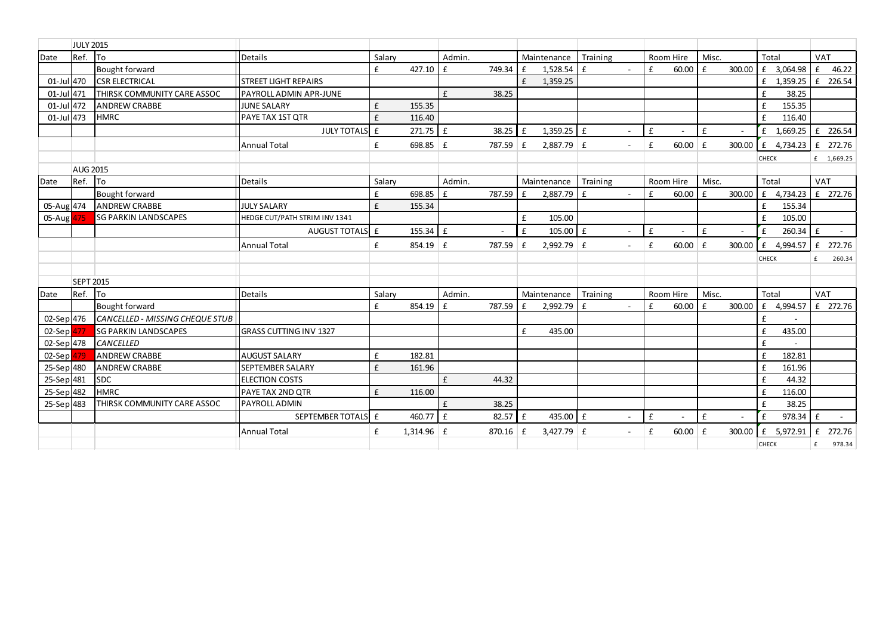|            | <b>JULY 2015</b> |                                        |                               |        |              |             |        |              |              |              |                          |           |           |              |        |       |            |                        |
|------------|------------------|----------------------------------------|-------------------------------|--------|--------------|-------------|--------|--------------|--------------|--------------|--------------------------|-----------|-----------|--------------|--------|-------|------------|------------------------|
| Date       | Ref.             | <b>I</b> To                            | Details                       | Salary |              | Admin.      |        |              | Maintenance  | Training     |                          |           | Room Hire | Misc.        |        | Total |            | <b>VAT</b>             |
|            |                  | Bought forward                         |                               | £      | 427.10       | £           | 749.34 | $\mathbf{f}$ | 1,528.54     | $\mathbf{f}$ |                          | £         | 60.00     | £            | 300.00 |       | £ 3,064.98 | £<br>46.22             |
| 01-Jul 470 |                  | <b>CSR ELECTRICAL</b>                  | <b>STREET LIGHT REPAIRS</b>   |        |              |             |        | £            | 1,359.25     |              |                          |           |           |              |        |       | £ 1,359.25 | f<br>226.54            |
| 01-Jul 471 |                  | <b>THIRSK COMMUNITY CARE ASSOC</b>     | PAYROLL ADMIN APR-JUNE        |        |              | £           | 38.25  |              |              |              |                          |           |           |              |        | £     | 38.25      |                        |
| 01-Jul 472 |                  | <b>ANDREW CRABBE</b>                   | <b>JUNE SALARY</b>            | £      | 155.35       |             |        |              |              |              |                          |           |           |              |        | £     | 155.35     |                        |
| 01-Jul 473 |                  | <b>HMRC</b>                            | <b>PAYE TAX 1ST OTR</b>       | £      | 116.40       |             |        |              |              |              |                          |           |           |              |        | £     | 116.40     |                        |
|            |                  |                                        | JULY TOTALS £                 |        | 271.75       | l £         | 38.25  | l £          | $1,359.25$ £ |              |                          | £         |           | $\mathbf{f}$ | $\sim$ | £     | 1,669.25   | f<br>226.54            |
|            |                  |                                        | <b>Annual Total</b>           | £      | $698.85$ £   |             | 787.59 | £            | $2,887.79$ £ |              | $\sim$                   | £         | $60.00$ £ |              | 300.00 | £     | 4,734.23   | £ 272.76               |
|            |                  |                                        |                               |        |              |             |        |              |              |              |                          |           |           |              |        | CHECK |            | £ 1,669.25             |
|            | <b>AUG 2015</b>  |                                        |                               |        |              |             |        |              |              |              |                          |           |           |              |        |       |            |                        |
| Date       | Ref.             | <b>I</b> To                            | Details                       | Salary |              | Admin.      |        |              | Maintenance  | Training     |                          |           | Room Hire | Misc.        |        | Total |            | VAT                    |
|            |                  | Bought forward                         |                               | £      | 698.85       | $\mathbf f$ | 787.59 | $\mathbf{f}$ | 2,887.79     | £            | $\overline{\phantom{a}}$ | £         | 60.00     | £            | 300.00 | £     | 4,734.23   | £ 272.76               |
| 05-Aug 474 |                  | <b>ANDREW CRABBE</b>                   | <b>JULY SALARY</b>            | £      | 155.34       |             |        |              |              |              |                          |           |           |              |        | £     | 155.34     |                        |
| 05-Aug 475 |                  | <b>SG PARKIN LANDSCAPES</b>            | HEDGE CUT/PATH STRIM INV 1341 |        |              |             |        | £            | 105.00       |              |                          |           |           |              |        | £     | 105.00     |                        |
|            |                  |                                        | AUGUST TOTALS E               |        | 155.34       | £           |        | $\mathbf{f}$ | 105.00       | $\mathbf{f}$ |                          | £         |           | $\mathbf{f}$ | $\sim$ | £     | 260.34     | $\pmb{\mathsf{f}}$     |
|            |                  |                                        | <b>Annual Total</b>           | £      | 854.19       | £           | 787.59 | £            | $2,992.79$ £ |              | $\blacksquare$           | £         | 60.00     | Ι£           | 300.00 | £     | 4,994.57   | f<br>272.76            |
|            |                  |                                        |                               |        |              |             |        |              |              |              |                          |           |           |              |        | CHECK |            | 260.34<br>£            |
|            |                  |                                        |                               |        |              |             |        |              |              |              |                          |           |           |              |        |       |            |                        |
|            | <b>SEPT 2015</b> |                                        |                               |        |              |             |        |              |              |              |                          |           |           |              |        |       |            |                        |
| Date       | Ref.             | lTo                                    | Details                       | Salary |              | Admin.      |        |              | Maintenance  | Training     |                          | Room Hire |           | Misc.        |        | Total |            | <b>VAT</b>             |
|            |                  | Bought forward                         |                               | £      | 854.19       | £           | 787.59 | £            | 2,992.79     | $\mathbf{f}$ |                          | £         | 60.00     | £            | 300.00 | £     | 4,994.57   | £ 272.76               |
| 02-Sep 476 |                  | <b>CANCELLED - MISSING CHEQUE STUB</b> |                               |        |              |             |        |              |              |              |                          |           |           |              |        | £     |            |                        |
| 02-Sep     |                  | <b>SG PARKIN LANDSCAPES</b>            | <b>GRASS CUTTING INV 1327</b> |        |              |             |        | £            | 435.00       |              |                          |           |           |              |        | £     | 435.00     |                        |
| 02-Sep 478 |                  | <b>CANCELLED</b>                       |                               |        |              |             |        |              |              |              |                          |           |           |              |        | £     |            |                        |
| $02-Sep$   |                  | <b>ANDREW CRABBE</b>                   | <b>AUGUST SALARY</b>          | £      | 182.81       |             |        |              |              |              |                          |           |           |              |        | £     | 182.81     |                        |
| 25-Sep 480 |                  | <b>ANDREW CRABBE</b>                   | SEPTEMBER SALARY              | £      | 161.96       |             |        |              |              |              |                          |           |           |              |        | £     | 161.96     |                        |
| 25-Sep 481 |                  | <b>SDC</b>                             | <b>ELECTION COSTS</b>         |        |              | £           | 44.32  |              |              |              |                          |           |           |              |        | £     | 44.32      |                        |
| 25-Sep 482 |                  | <b>HMRC</b>                            | PAYE TAX 2ND QTR              | £      | 116.00       |             |        |              |              |              |                          |           |           |              |        | £     | 116.00     |                        |
| 25-Sep 483 |                  | THIRSK COMMUNITY CARE ASSOC            | PAYROLL ADMIN                 |        |              | £           | 38.25  |              |              |              |                          |           |           |              |        | £     | 38.25      |                        |
|            |                  |                                        | SEPTEMBER TOTALS E            |        | 460.77       | $\mathbf f$ | 82.57  | l £          | 435.00       | E            |                          | £         |           | £            | $\sim$ | £     | 978.34     | $\mathbf f$<br>$\sim$  |
|            |                  |                                        | <b>Annual Total</b>           | £      | $1,314.96$ £ |             | 870.16 | ∣ £          | $3,427.79$ £ |              | $\overline{\phantom{a}}$ | £         | 60.00     | £            | 300.00 | £     | 5,972.91   | $\mathbf{f}$<br>272.76 |
|            |                  |                                        |                               |        |              |             |        |              |              |              |                          |           |           |              |        | CHECK |            | 978.34<br>£            |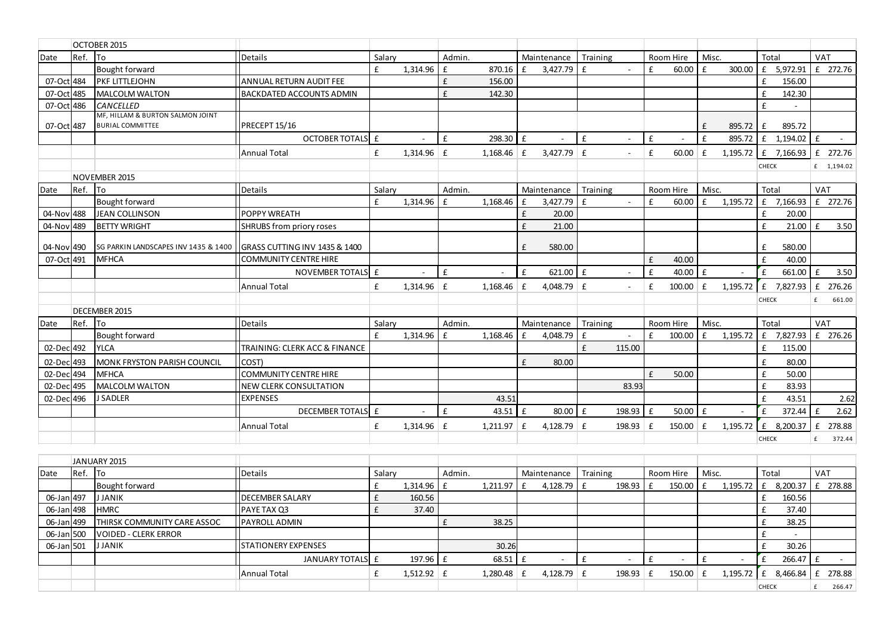| Date       | Ref.    | <b>To</b>                                                            | <b>Details</b>                  | Salary |              | Admin.       |                     |              | Maintenance  | Training                       |   | Room Hire  | Misc.        |          | Total |                                    | <b>VAT</b>     |            |
|------------|---------|----------------------------------------------------------------------|---------------------------------|--------|--------------|--------------|---------------------|--------------|--------------|--------------------------------|---|------------|--------------|----------|-------|------------------------------------|----------------|------------|
|            |         | Bought forward                                                       |                                 | £      | 1,314.96     | $\mathbf{f}$ | 870.16              | £            | 3,427.79     | $\mathbf{f}$<br>$\sim$         | £ | 60.00      | $\mathbf{f}$ | 300.00   |       | £ 5,972.91                         |                | £ 272.76   |
| 07-Oct 484 |         | <b>IPKF LITTLEJOHN</b>                                               | <b>ANNUAL RETURN AUDIT FEE</b>  |        |              | £            | 156.00              |              |              |                                |   |            |              |          | £     | 156.00                             |                |            |
| 07-Oct 485 |         | MALCOLM WALTON                                                       | <b>BACKDATED ACCOUNTS ADMIN</b> |        |              | £            | 142.30              |              |              |                                |   |            |              |          | £     | 142.30                             |                |            |
| 07-Oct 486 |         | <b>CANCELLED</b>                                                     |                                 |        |              |              |                     |              |              |                                |   |            |              |          | £     |                                    |                |            |
| 07-Oct 487 |         | MF, HILLAM & BURTON SALMON JOINT<br><b>BURIAL COMMITTEE</b>          | PRECEPT 15/16                   |        |              |              |                     |              |              |                                |   |            | $\mathbf{f}$ | 895.72   | £     | 895.72                             |                |            |
|            |         |                                                                      | OCTOBER TOTALS E                |        | $\sim$       | £            | $298.30 \text{ }$ £ |              | $\sim$       | $\mathbf{f}$<br>$\overline{a}$ | f |            | $\mathbf{f}$ | 895.72   |       | $f = 1,194.02$ f                   |                |            |
|            |         |                                                                      | <b>Annual Total</b>             | £      | $1,314.96$ £ |              | $1,168.46$ £        |              | $3,427.79$ £ | $\sim$                         | £ | 60.00      | $\mathbf{f}$ | 1,195.72 |       | £ 7,166.93 $\left  \right. 272.76$ |                |            |
|            |         |                                                                      |                                 |        |              |              |                     |              |              |                                |   |            |              |          | CHECK |                                    |                | £ 1,194.02 |
|            |         | NOVEMBER 2015                                                        |                                 |        |              |              |                     |              |              |                                |   |            |              |          |       |                                    |                |            |
| Date       | Ref. To |                                                                      | <b>Details</b>                  | Salary |              | Admin.       |                     |              | Maintenance  | Training                       |   | Room Hire  | Misc.        |          | Total |                                    | VAT            |            |
|            |         | Bought forward                                                       |                                 | £      | 1,314.96     | $\mathbf{f}$ | 1,168.46            | £            | 3,427.79     | £<br>$\sim$                    | £ | 60.00      | £            | 1,195.72 |       | £ 7,166.93 $E$ 272.76              |                |            |
| 04-Nov 488 |         | JEAN COLLINSON                                                       | <b>POPPY WREATH</b>             |        |              |              |                     | £            | 20.00        |                                |   |            |              |          | £     | 20.00                              |                |            |
| 04-Nov 489 |         | <b>BETTY WRIGHT</b>                                                  | SHRUBS from priory roses        |        |              |              |                     | £            | 21.00        |                                |   |            |              |          | £     | $21.00$ E                          |                | 3.50       |
| 04-Nov 490 |         | SG PARKIN LANDSCAPES INV 1435 & 1400   GRASS CUTTING INV 1435 & 1400 |                                 |        |              |              |                     | £            | 580.00       |                                |   |            |              |          | £     | 580.00                             |                |            |
| 07-Oct 491 |         | <b>MFHCA</b>                                                         | <b>COMMUNITY CENTRE HIRE</b>    |        |              |              |                     |              |              |                                | £ | 40.00      |              |          | £     | 40.00                              |                |            |
|            |         |                                                                      | NOVEMBER TOTALS E               |        |              | £            |                     | £            | $621.00$ £   |                                | £ | 40.00      | $\mathbf{f}$ |          | £     | 661.00                             | $\mathsf{I}$ f | 3.50       |
|            |         |                                                                      | <b>Annual Total</b>             | £      | $1,314.96$ £ |              | $1,168.46$ £        |              | $4,048.79$ £ | $\sim$                         | £ | 100.00     | £            | 1,195.72 |       | £ 7,827.93 $E$                     |                | 276.26     |
|            |         |                                                                      |                                 |        |              |              |                     |              |              |                                |   |            |              |          | CHECK |                                    | £              | 661.00     |
|            |         | <b>DECEMBER 2015</b>                                                 |                                 |        |              |              |                     |              |              |                                |   |            |              |          |       |                                    |                |            |
| Date       | Ref. To |                                                                      | <b>Details</b>                  | Salarv |              | Admin.       |                     |              | Maintenance  | Training                       |   | Room Hire  | Misc.        |          | Total |                                    | <b>VAT</b>     |            |
|            |         | Bought forward                                                       |                                 | £      | 1,314.96     | £            | 1,168.46            | £            | 4,048.79     | £<br>$\sim$                    | £ | 100.00     | £            | 1,195.72 |       | £ 7,827.93 $E$ 276.26              |                |            |
| 02-Dec 492 |         | <b>YLCA</b>                                                          | TRAINING: CLERK ACC & FINANCE   |        |              |              |                     |              |              | $\mathbf{f}$<br>115.00         |   |            |              |          | £     | 115.00                             |                |            |
| 02-Dec 493 |         | MONK FRYSTON PARISH COUNCIL                                          | COST)                           |        |              |              |                     | £            | 80.00        |                                |   |            |              |          | £     | 80.00                              |                |            |
| 02-Dec 494 |         | <b>IMFHCA</b>                                                        | <b>COMMUNITY CENTRE HIRE</b>    |        |              |              |                     |              |              |                                | £ | 50.00      |              |          | £     | 50.00                              |                |            |
| 02-Dec 495 |         | MALCOLM WALTON                                                       | <b>NEW CLERK CONSULTATION</b>   |        |              |              |                     |              |              | 83.93                          |   |            |              |          | £     | 83.93                              |                |            |
| 02-Dec 496 |         | <b>J SADLER</b>                                                      | <b>EXPENSES</b>                 |        |              |              | 43.51               |              |              |                                |   |            |              |          | £     | 43.51                              |                | 2.62       |
|            |         |                                                                      | DECEMBER TOTALS E               |        | $\sim$       | £            | 43.51               | $\mathbf{f}$ | 80.00        | 198.93<br>£                    | £ | 50.00      | $\mathbf{f}$ |          | £     | 372.44                             | $\mathsf{E}$   | 2.62       |
|            |         |                                                                      | <b>Annual Total</b>             | £      | $1,314.96$ £ |              | $1,211.97$ $E$      |              | 4,128.79 $E$ | $198.93 \mid f$                |   | $150.00$ £ |              | 1,195.72 | £     | 8,200.37                           | f              | 278.88     |
|            |         |                                                                      |                                 |        |              |              |                     |              |              |                                |   |            |              |          |       |                                    | £              | 372.44     |

|            |         | JANUARY 2015                        |                             |        |                   |        |          |              |                 |                 |       |                          |              |            |            |          |
|------------|---------|-------------------------------------|-----------------------------|--------|-------------------|--------|----------|--------------|-----------------|-----------------|-------|--------------------------|--------------|------------|------------|----------|
| Date       | Ref. To |                                     | Details                     | Salary |                   | Admin. |          | Maintenance  | Training        | Room Hire       | Misc. |                          | Total        |            | <b>VAT</b> |          |
|            |         | Bought forward                      |                             |        | $1,314.96 \mid f$ |        | 1,211.97 | 4,128.79     | 198.93          | 150.00          |       | 1,195.72                 |              | 8,200.37   |            | 278.88   |
| 06-Jan 497 |         | <b>JJANIK</b>                       | <b>DECEMBER SALARY</b>      |        | 160.56            |        |          |              |                 |                 |       |                          |              | 160.56     |            |          |
| 06-Jan 498 |         | <b>HMRC</b>                         | PAYE TAX Q3                 |        | 37.40             |        |          |              |                 |                 |       |                          |              | 37.40      |            |          |
| 06-Jan 499 |         | <b>ITHIRSK COMMUNITY CARE ASSOC</b> | <b>PAYROLL ADMIN</b>        |        |                   |        | 38.25    |              |                 |                 |       |                          |              | 38.25      |            |          |
| 06-Jan 500 |         | <b>VOIDED - CLERK ERROR</b>         |                             |        |                   |        |          |              |                 |                 |       |                          |              |            |            |          |
| 06-Jan 501 |         | <b>JJANIK</b>                       | <b>ISTATIONERY EXPENSES</b> |        |                   |        | 30.26    |              |                 |                 |       |                          |              | 30.26      |            |          |
|            |         |                                     | JANUARY TOTALS E            |        | $197.96 \tE$      |        | 68.51    |              |                 |                 |       | $\overline{\phantom{0}}$ |              | $266.47$ £ |            |          |
|            |         |                                     | <b>Annual Total</b>         |        | $1,512.92$ £      |        | 1,280.48 | $4,128.79$ £ | $198.93 \mid f$ | $150.00 \mid f$ |       | 1,195.72                 | £            | 8,466.84   |            | £ 278.88 |
|            |         |                                     |                             |        |                   |        |          |              |                 |                 |       |                          | <b>CHECK</b> |            |            | 266.47   |